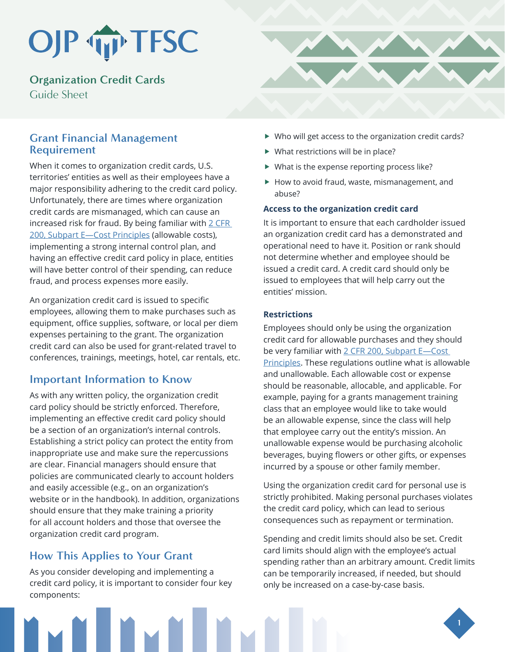# OJP TP TFSC

**Organization Credit Cards**  Guide Sheet

## **Grant Financial Management Requirement**

When it comes to organization credit cards, U.S. territories' entities as well as their employees have a major responsibility adhering to the credit card policy. Unfortunately, there are times where organization credit cards are mismanaged, which can cause an increased risk for fraud. By being familiar with  $2$  CFR [200, Subpart E—Cost Principles](https://www.ecfr.gov/cgi-bin/text-idx?node=2:1.1.2.2.1.5&rgn=div6) (allowable costs), implementing a strong internal control plan, and having an effective credit card policy in place, entities will have better control of their spending, can reduce fraud, and process expenses more easily.

An organization credit card is issued to specific employees, allowing them to make purchases such as equipment, office supplies, software, or local per diem expenses pertaining to the grant. The organization credit card can also be used for grant-related travel to conferences, trainings, meetings, hotel, car rentals, etc.

## **Important Information to Know**

As with any written policy, the organization credit card policy should be strictly enforced. Therefore, implementing an effective credit card policy should be a section of an organization's internal controls. Establishing a strict policy can protect the entity from inappropriate use and make sure the repercussions are clear. Financial managers should ensure that policies are communicated clearly to account holders and easily accessible (e.g., on an organization's website or in the handbook). In addition, organizations should ensure that they make training a priority for all account holders and those that oversee the organization credit card program.

# **How This Applies to Your Grant**

As you consider developing and implementing a credit card policy, it is important to consider four key components:



- $\blacktriangleright$  Who will get access to the organization credit cards?
- $\blacktriangleright$  What restrictions will be in place?
- $\blacktriangleright$  What is the expense reporting process like?
- $\blacktriangleright$  How to avoid fraud, waste, mismanagement, and abuse?

#### **Access to the organization credit card**

It is important to ensure that each cardholder issued an organization credit card has a demonstrated and operational need to have it. Position or rank should not determine whether and employee should be issued a credit card. A credit card should only be issued to employees that will help carry out the entities' mission.

#### **Restrictions**

Employees should only be using the organization credit card for allowable purchases and they should be very familiar with 2 CFR 200, Subpart E-Cost [Principles.](https://www.ecfr.gov/cgi-bin/text-idx?node=2:1.1.2.2.1.5&rgn=div6) These regulations outline what is allowable and unallowable. Each allowable cost or expense should be reasonable, allocable, and applicable. For example, paying for a grants management training class that an employee would like to take would be an allowable expense, since the class will help that employee carry out the entity's mission. An unallowable expense would be purchasing alcoholic beverages, buying flowers or other gifts, or expenses incurred by a spouse or other family member.

Using the organization credit card for personal use is strictly prohibited. Making personal purchases violates the credit card policy, which can lead to serious consequences such as repayment or termination.

Spending and credit limits should also be set. Credit card limits should align with the employee's actual spending rather than an arbitrary amount. Credit limits can be temporarily increased, if needed, but should only be increased on a case-by-case basis.

**1**